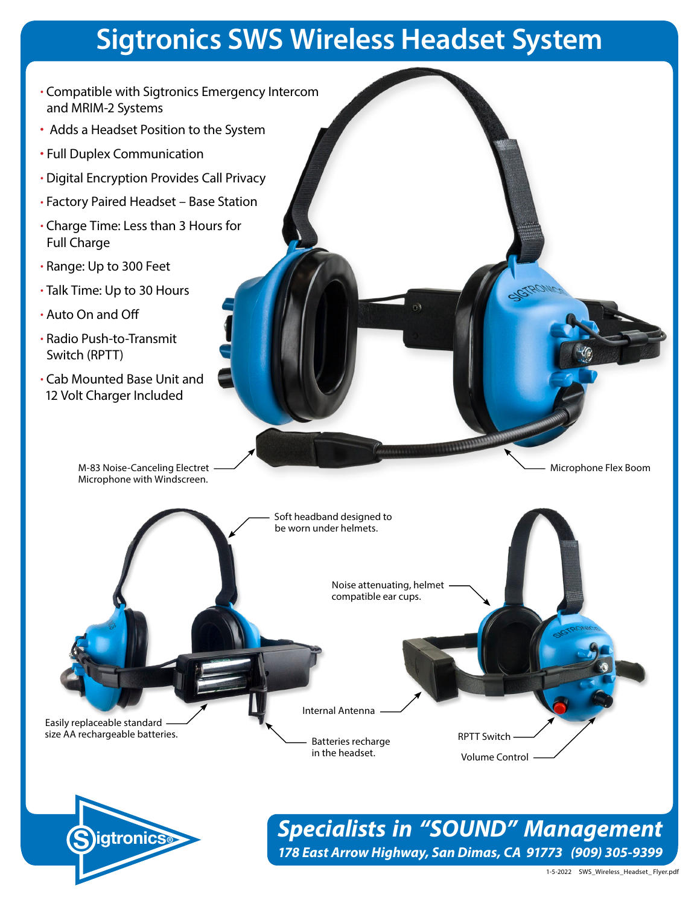# **Sigtronics SWS Wireless Headset System**

- Compatible with Sigtronics Emergency Intercom and MRIM-2 Systems
- Adds a Headset Position to the System
- Full Duplex Communication
- Digital Encryption Provides Call Privacy
- Factory Paired Headset Base Station
- Charge Time: Less than 3 Hours for Full Charge
- Range: Up to 300 Feet
- Talk Time: Up to 30 Hours
- Auto On and Off
- Radio Push-to-Transmit Switch (RPTT)
- Cab Mounted Base Unit and 12 Volt Charger Included

M-83 Noise-Canceling Electret Microphone with Windscreen.





*Specialists in "SOUND" Management 178 East Arrow Highway, San Dimas, CA 91773 (909) 305-9399*

Microphone Flex Boom